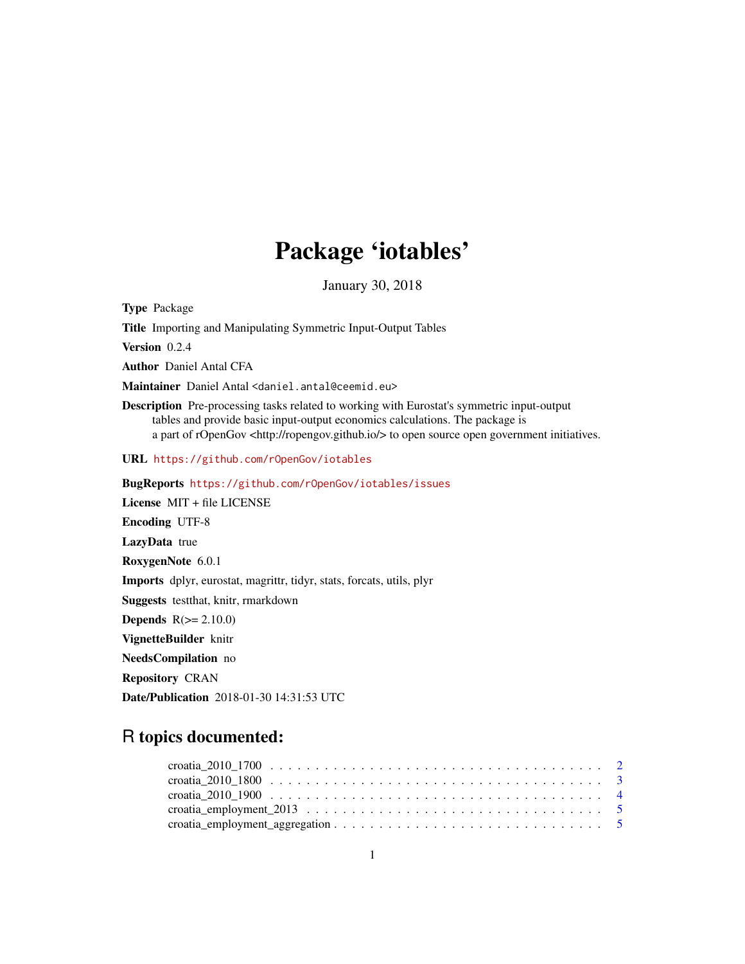## Package 'iotables'

January 30, 2018

Type Package

Title Importing and Manipulating Symmetric Input-Output Tables

Version 0.2.4

Author Daniel Antal CFA

Maintainer Daniel Antal <daniel.antal@ceemid.eu>

Description Pre-processing tasks related to working with Eurostat's symmetric input-output tables and provide basic input-output economics calculations. The package is a part of rOpenGov <http://ropengov.github.io/> to open source open government initiatives.

URL <https://github.com/rOpenGov/iotables>

BugReports <https://github.com/rOpenGov/iotables/issues>

License MIT + file LICENSE Encoding UTF-8 LazyData true RoxygenNote 6.0.1 Imports dplyr, eurostat, magrittr, tidyr, stats, forcats, utils, plyr Suggests testthat, knitr, rmarkdown **Depends**  $R(>= 2.10.0)$ VignetteBuilder knitr

NeedsCompilation no

Repository CRAN

Date/Publication 2018-01-30 14:31:53 UTC

### R topics documented: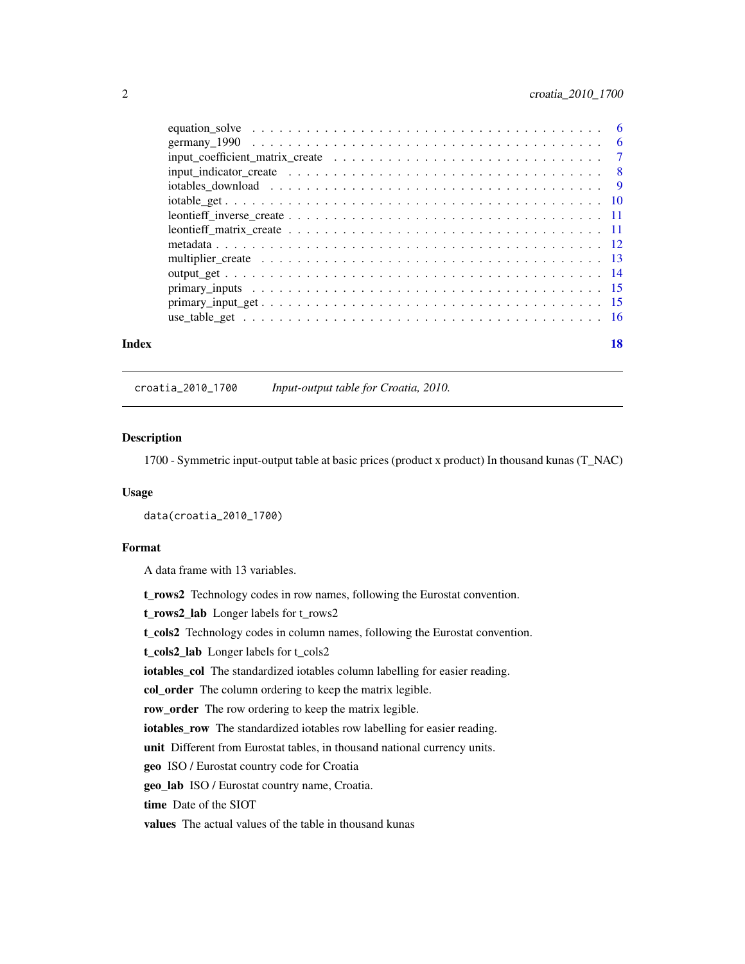<span id="page-1-0"></span>

| Index | 18 |
|-------|----|
|       |    |
|       |    |
|       |    |
|       |    |
|       |    |
|       |    |
|       |    |
|       |    |
|       |    |
|       |    |
|       |    |
|       |    |
|       |    |
|       |    |

croatia\_2010\_1700 *Input-output table for Croatia, 2010.*

#### Description

1700 - Symmetric input-output table at basic prices (product x product) In thousand kunas (T\_NAC)

#### Usage

data(croatia\_2010\_1700)

#### Format

A data frame with 13 variables.

t\_rows2 Technology codes in row names, following the Eurostat convention.

t\_rows2\_lab Longer labels for t\_rows2

t\_cols2 Technology codes in column names, following the Eurostat convention.

```
t_cols2_lab Longer labels for t_cols2
```
iotables\_col The standardized iotables column labelling for easier reading.

col\_order The column ordering to keep the matrix legible.

row\_order The row ordering to keep the matrix legible.

iotables\_row The standardized iotables row labelling for easier reading.

unit Different from Eurostat tables, in thousand national currency units.

geo ISO / Eurostat country code for Croatia

geo\_lab ISO / Eurostat country name, Croatia.

time Date of the SIOT

values The actual values of the table in thousand kunas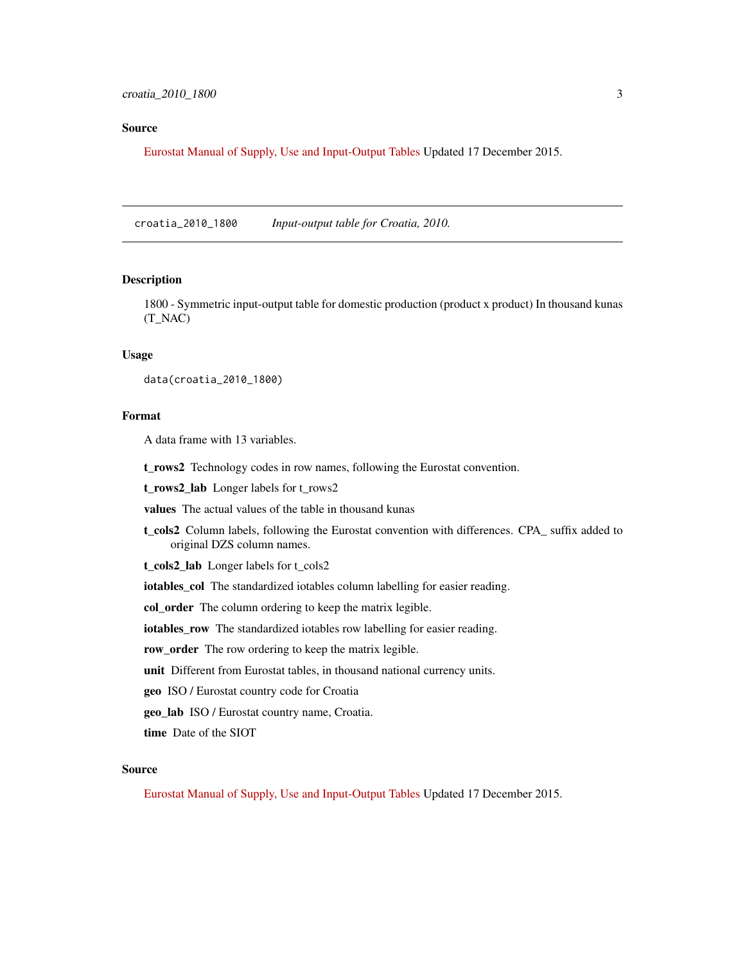#### <span id="page-2-0"></span>Source

[Eurostat Manual of Supply, Use and Input-Output Tables](https://www.dzs.hr/Hrv_Eng/publication/2015/12-01-04_01_2015.xlsx) Updated 17 December 2015.

croatia\_2010\_1800 *Input-output table for Croatia, 2010.*

#### Description

1800 - Symmetric input-output table for domestic production (product x product) In thousand kunas (T\_NAC)

#### Usage

data(croatia\_2010\_1800)

#### Format

A data frame with 13 variables.

t\_rows2 Technology codes in row names, following the Eurostat convention.

t\_rows2\_lab Longer labels for t\_rows2

values The actual values of the table in thousand kunas

t cols2 Column labels, following the Eurostat convention with differences. CPA suffix added to original DZS column names.

t\_cols2\_lab Longer labels for t\_cols2

iotables\_col The standardized iotables column labelling for easier reading.

col\_order The column ordering to keep the matrix legible.

iotables\_row The standardized iotables row labelling for easier reading.

row\_order The row ordering to keep the matrix legible.

unit Different from Eurostat tables, in thousand national currency units.

geo ISO / Eurostat country code for Croatia

geo\_lab ISO / Eurostat country name, Croatia.

time Date of the SIOT

#### Source

[Eurostat Manual of Supply, Use and Input-Output Tables](https://www.dzs.hr/Hrv_Eng/publication/2015/12-01-04_01_2015.xlsx) Updated 17 December 2015.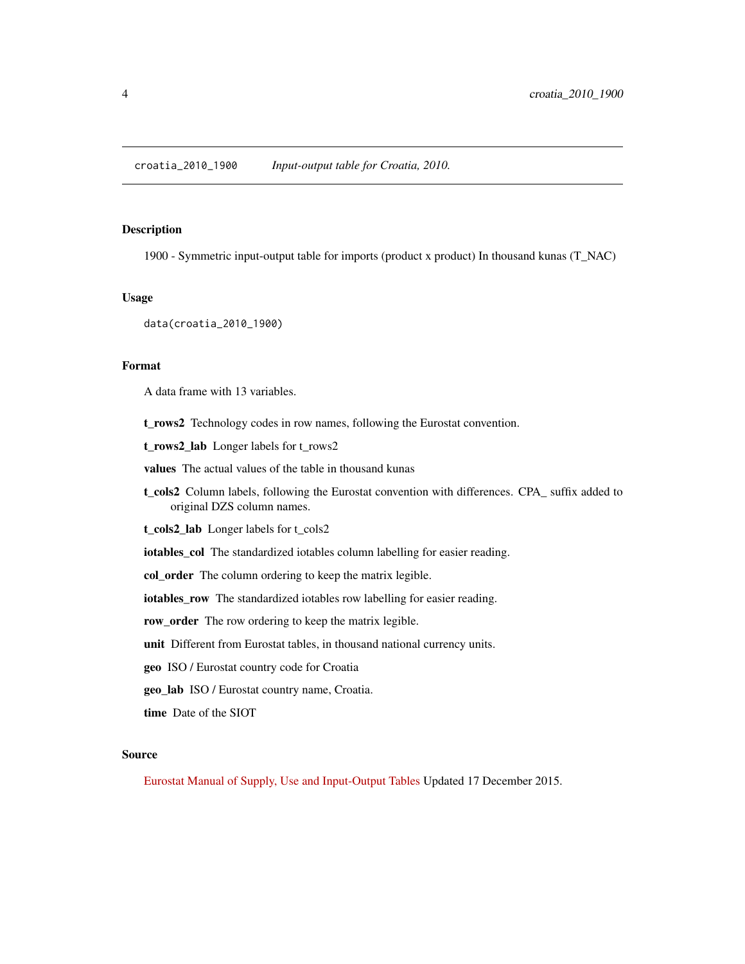<span id="page-3-0"></span>1900 - Symmetric input-output table for imports (product x product) In thousand kunas (T\_NAC)

#### Usage

data(croatia\_2010\_1900)

#### Format

A data frame with 13 variables.

t\_rows2 Technology codes in row names, following the Eurostat convention.

t\_rows2\_lab Longer labels for t\_rows2

values The actual values of the table in thousand kunas

t\_cols2 Column labels, following the Eurostat convention with differences. CPA\_ suffix added to original DZS column names.

t\_cols2\_lab Longer labels for t\_cols2

iotables\_col The standardized iotables column labelling for easier reading.

col\_order The column ordering to keep the matrix legible.

iotables\_row The standardized iotables row labelling for easier reading.

row\_order The row ordering to keep the matrix legible.

unit Different from Eurostat tables, in thousand national currency units.

geo ISO / Eurostat country code for Croatia

geo\_lab ISO / Eurostat country name, Croatia.

time Date of the SIOT

#### Source

[Eurostat Manual of Supply, Use and Input-Output Tables](https://www.dzs.hr/Hrv_Eng/publication/2015/12-01-04_01_2015.xlsx) Updated 17 December 2015.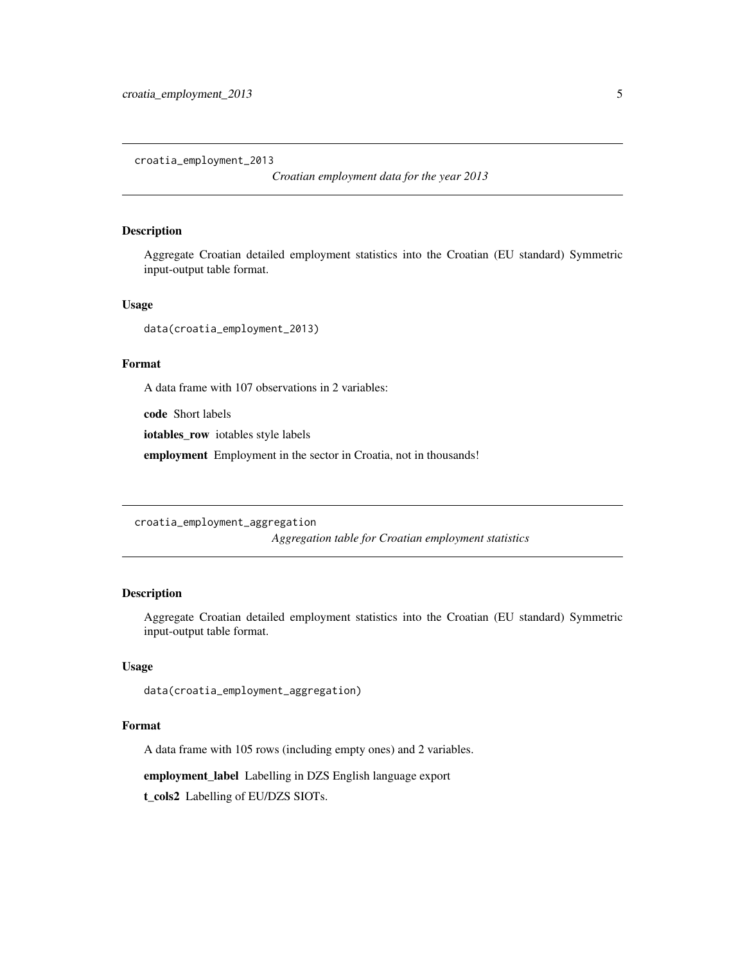<span id="page-4-0"></span>croatia\_employment\_2013

*Croatian employment data for the year 2013*

#### Description

Aggregate Croatian detailed employment statistics into the Croatian (EU standard) Symmetric input-output table format.

#### Usage

data(croatia\_employment\_2013)

#### Format

A data frame with 107 observations in 2 variables:

code Short labels

iotables\_row iotables style labels

employment Employment in the sector in Croatia, not in thousands!

croatia\_employment\_aggregation

*Aggregation table for Croatian employment statistics*

#### Description

Aggregate Croatian detailed employment statistics into the Croatian (EU standard) Symmetric input-output table format.

#### Usage

data(croatia\_employment\_aggregation)

#### Format

A data frame with 105 rows (including empty ones) and 2 variables.

employment\_label Labelling in DZS English language export

t\_cols2 Labelling of EU/DZS SIOTs.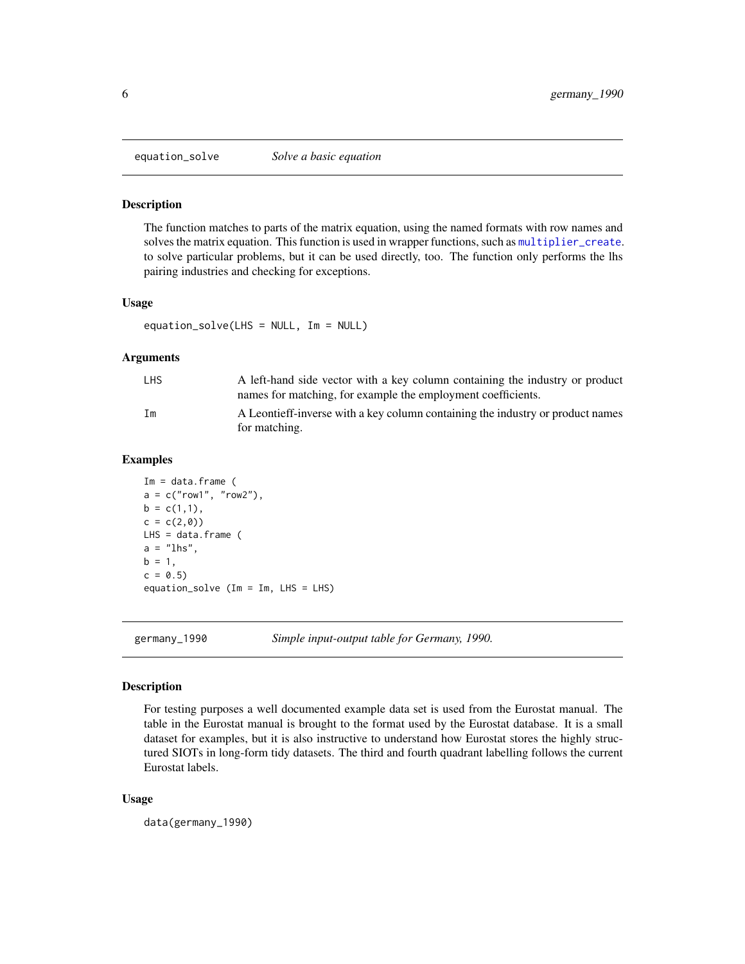<span id="page-5-1"></span><span id="page-5-0"></span>

The function matches to parts of the matrix equation, using the named formats with row names and solves the matrix equation. This function is used in wrapper functions, such as [multiplier\\_create](#page-12-1). to solve particular problems, but it can be used directly, too. The function only performs the lhs pairing industries and checking for exceptions.

#### Usage

equation\_solve(LHS = NULL, Im = NULL)

#### Arguments

| <b>LHS</b> | A left-hand side vector with a key column containing the industry or product<br>names for matching, for example the employment coefficients. |
|------------|----------------------------------------------------------------------------------------------------------------------------------------------|
| Im         | A Leontieff-inverse with a key column containing the industry or product names<br>for matching.                                              |

#### Examples

```
Im = data frame (
a = c("row1", "row2"),
b = c(1,1),c = c(2,0)LHS = data.frame (
a = "lhs",b = 1,c = 0.5equation_solve (Im = Im, LHS = LHS)
```
germany\_1990 *Simple input-output table for Germany, 1990.*

#### Description

For testing purposes a well documented example data set is used from the Eurostat manual. The table in the Eurostat manual is brought to the format used by the Eurostat database. It is a small dataset for examples, but it is also instructive to understand how Eurostat stores the highly structured SIOTs in long-form tidy datasets. The third and fourth quadrant labelling follows the current Eurostat labels.

#### Usage

data(germany\_1990)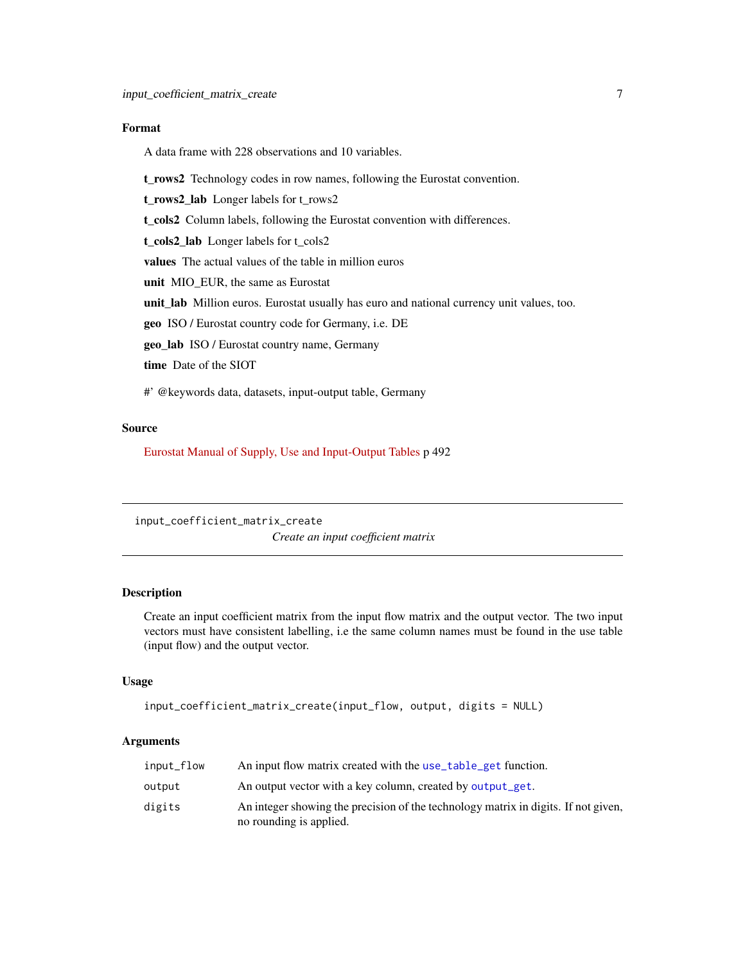#### <span id="page-6-0"></span>Format

A data frame with 228 observations and 10 variables.

t\_rows2 Technology codes in row names, following the Eurostat convention.

t\_rows2\_lab Longer labels for t\_rows2

t\_cols2 Column labels, following the Eurostat convention with differences.

t\_cols2\_lab Longer labels for t\_cols2

values The actual values of the table in million euros

unit MIO\_EUR, the same as Eurostat

unit\_lab Million euros. Eurostat usually has euro and national currency unit values, too.

geo ISO / Eurostat country code for Germany, i.e. DE

geo\_lab ISO / Eurostat country name, Germany

time Date of the SIOT

#' @keywords data, datasets, input-output table, Germany

#### Source

[Eurostat Manual of Supply, Use and Input-Output Tables](http://ec.europa.eu/eurostat/documents/3859598/5902113/KS-RA-07-013-EN.PDF/b0b3d71e-3930-4442-94be-70b36cea9b39?version=1.0) p 492

<span id="page-6-1"></span>input\_coefficient\_matrix\_create *Create an input coefficient matrix*

#### Description

Create an input coefficient matrix from the input flow matrix and the output vector. The two input vectors must have consistent labelling, i.e the same column names must be found in the use table (input flow) and the output vector.

#### Usage

```
input_coefficient_matrix_create(input_flow, output, digits = NULL)
```
#### Arguments

| input_flow | An input flow matrix created with the use_table_get function.                                                 |
|------------|---------------------------------------------------------------------------------------------------------------|
| output     | An output vector with a key column, created by output_get.                                                    |
| digits     | An integer showing the precision of the technology matrix in digits. If not given,<br>no rounding is applied. |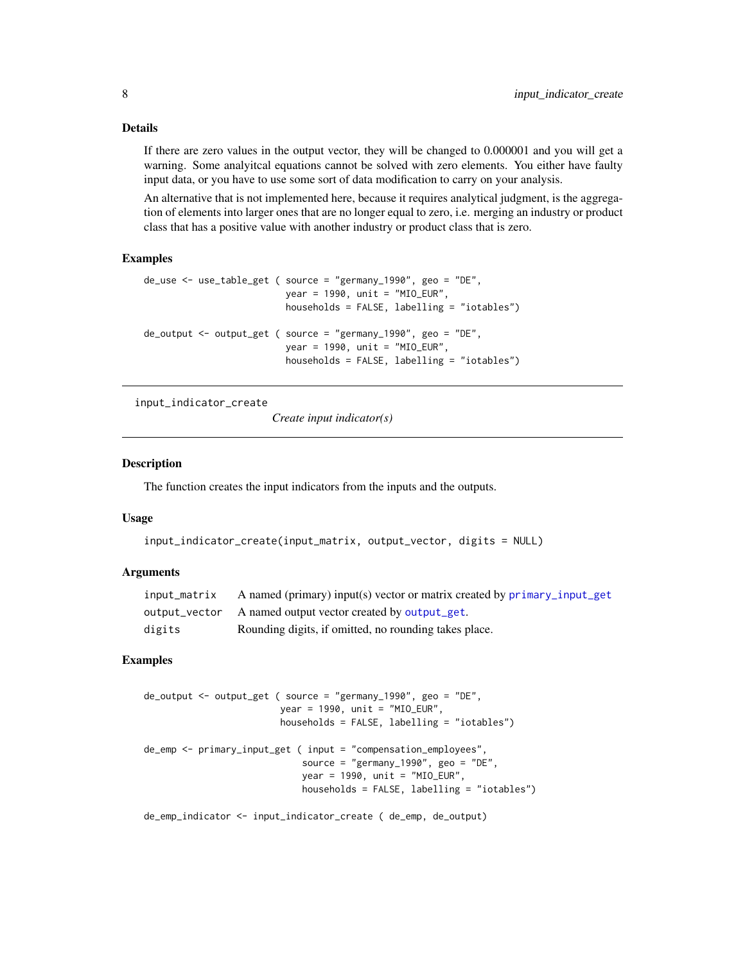#### Details

If there are zero values in the output vector, they will be changed to 0.000001 and you will get a warning. Some analyitcal equations cannot be solved with zero elements. You either have faulty input data, or you have to use some sort of data modification to carry on your analysis.

An alternative that is not implemented here, because it requires analytical judgment, is the aggregation of elements into larger ones that are no longer equal to zero, i.e. merging an industry or product class that has a positive value with another industry or product class that is zero.

#### Examples

```
de_use <- use_table_get ( source = "germany_1990", geo = "DE",
                          year = 1990, unit = "MIO_EUR",
                          households = FALSE, labelling = "iotables")
de_output <- output_get ( source = "germany_1990", geo = "DE",
                          year = 1990, unit = "MIO_EUR",
                          households = FALSE, labelling = "iotables")
```
<span id="page-7-1"></span>input\_indicator\_create

*Create input indicator(s)*

#### **Description**

The function creates the input indicators from the inputs and the outputs.

#### Usage

```
input_indicator_create(input_matrix, output_vector, digits = NULL)
```
#### Arguments

| input_matrix | A named (primary) input(s) vector or matrix created by primary_input_get |
|--------------|--------------------------------------------------------------------------|
|              | output_vector A named output vector created by output_get.               |
| digits       | Rounding digits, if omitted, no rounding takes place.                    |

#### Examples

```
de_output <- output_get ( source = "germany_1990", geo = "DE",
                        year = 1990, unit = "MIO_EUR",
                         households = FALSE, labelling = "iotables")
de_emp <- primary_input_get ( input = "compensation_employees",
                             source = "germany_1990", geo = "DE",
                             year = 1990, unit = "MIO_EUR",
                             households = FALSE, labelling = "iotables")
```
de\_emp\_indicator <- input\_indicator\_create ( de\_emp, de\_output)

<span id="page-7-0"></span>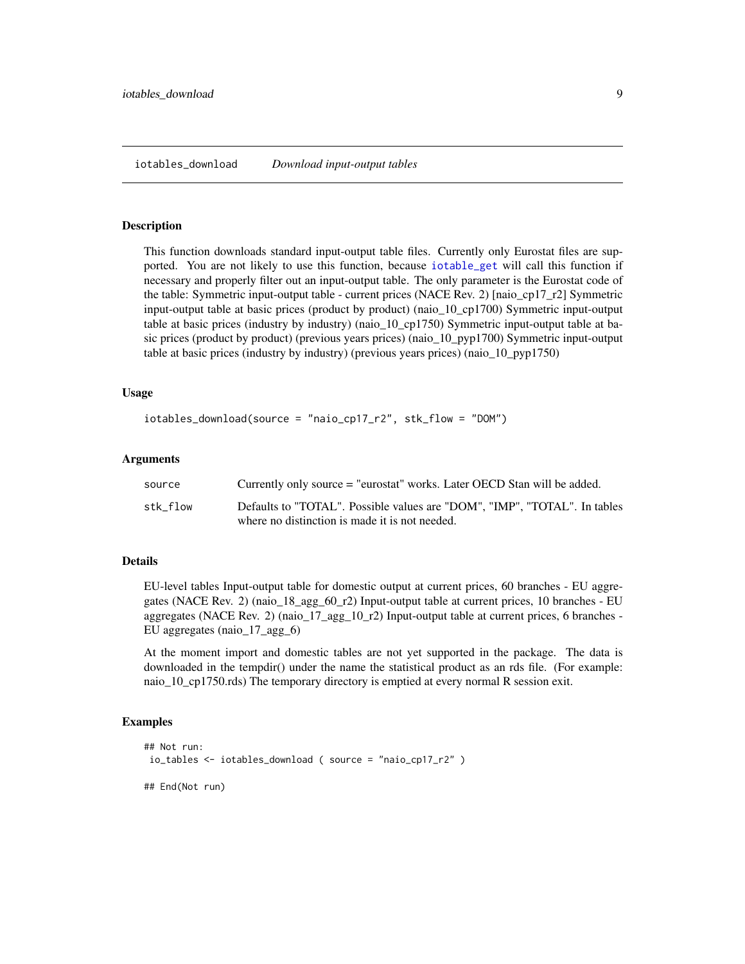<span id="page-8-1"></span><span id="page-8-0"></span>This function downloads standard input-output table files. Currently only Eurostat files are supported. You are not likely to use this function, because [iotable\\_get](#page-9-1) will call this function if necessary and properly filter out an input-output table. The only parameter is the Eurostat code of the table: Symmetric input-output table - current prices (NACE Rev. 2) [naio\_cp17\_r2] Symmetric input-output table at basic prices (product by product) (naio\_10\_cp1700) Symmetric input-output table at basic prices (industry by industry) (naio\_10\_cp1750) Symmetric input-output table at basic prices (product by product) (previous years prices) (naio\_10\_pyp1700) Symmetric input-output table at basic prices (industry by industry) (previous years prices) (naio\_10\_pyp1750)

#### Usage

```
iotables_download(source = "naio_cp17_r2", stk_flow = "DOM")
```
#### Arguments

| source   | Currently only source = "eurostat" works. Later OECD Stan will be added.  |
|----------|---------------------------------------------------------------------------|
| stk flow | Defaults to "TOTAL". Possible values are "DOM", "IMP", "TOTAL". In tables |
|          | where no distinction is made it is not needed.                            |

#### Details

EU-level tables Input-output table for domestic output at current prices, 60 branches - EU aggregates (NACE Rev. 2) (naio\_18\_agg\_60\_r2) Input-output table at current prices, 10 branches - EU aggregates (NACE Rev. 2) (naio\_17\_agg\_10\_r2) Input-output table at current prices, 6 branches - EU aggregates (naio\_17\_agg\_6)

At the moment import and domestic tables are not yet supported in the package. The data is downloaded in the tempdir() under the name the statistical product as an rds file. (For example: naio\_10\_cp1750.rds) The temporary directory is emptied at every normal R session exit.

```
## Not run:
io_tables <- iotables_download ( source = "naio_cp17_r2" )
## End(Not run)
```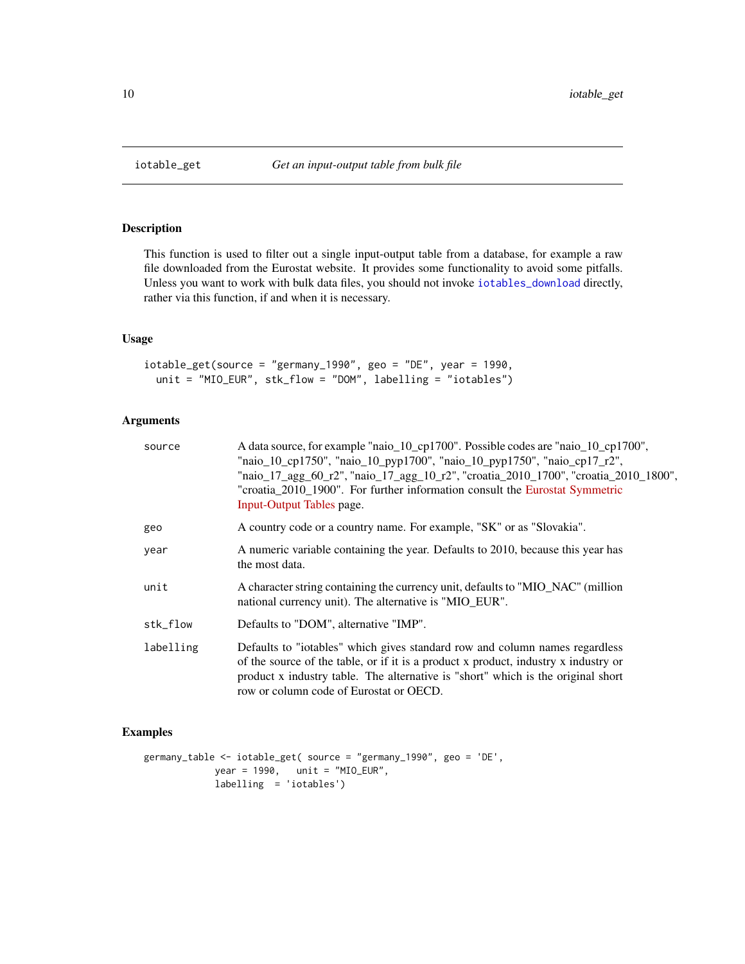<span id="page-9-1"></span><span id="page-9-0"></span>

This function is used to filter out a single input-output table from a database, for example a raw file downloaded from the Eurostat website. It provides some functionality to avoid some pitfalls. Unless you want to work with bulk data files, you should not invoke [iotables\\_download](#page-8-1) directly, rather via this function, if and when it is necessary.

#### Usage

iotable\_get(source = "germany\_1990", geo = "DE", year = 1990, unit = "MIO\_EUR", stk\_flow = "DOM", labelling = "iotables")

#### Arguments

| source    | A data source, for example "naio_10_cp1700". Possible codes are "naio_10_cp1700",<br>"naio_10_cp1750", "naio_10_pyp1700", "naio_10_pyp1750", "naio_cp17_r2",<br>"naio_17_agg_60_r2", "naio_17_agg_10_r2", "croatia_2010_1700", "croatia_2010_1800",<br>"croatia_2010_1900". For further information consult the Eurostat Symmetric<br>Input-Output Tables page. |
|-----------|-----------------------------------------------------------------------------------------------------------------------------------------------------------------------------------------------------------------------------------------------------------------------------------------------------------------------------------------------------------------|
| geo       | A country code or a country name. For example, "SK" or as "Slovakia".                                                                                                                                                                                                                                                                                           |
| year      | A numeric variable containing the year. Defaults to 2010, because this year has<br>the most data.                                                                                                                                                                                                                                                               |
| unit      | A character string containing the currency unit, defaults to "MIO_NAC" (million<br>national currency unit). The alternative is "MIO_EUR".                                                                                                                                                                                                                       |
| stk flow  | Defaults to "DOM", alternative "IMP".                                                                                                                                                                                                                                                                                                                           |
| labelling | Defaults to "iotables" which gives standard row and column names regardless<br>of the source of the table, or if it is a product x product, industry x industry or<br>product x industry table. The alternative is "short" which is the original short<br>row or column code of Eurostat or OECD.                                                               |

```
germany_table <- iotable_get( source = "germany_1990", geo = 'DE',
            year = 1990, unit = "MIO_EUR",
            labelling = 'iotables')
```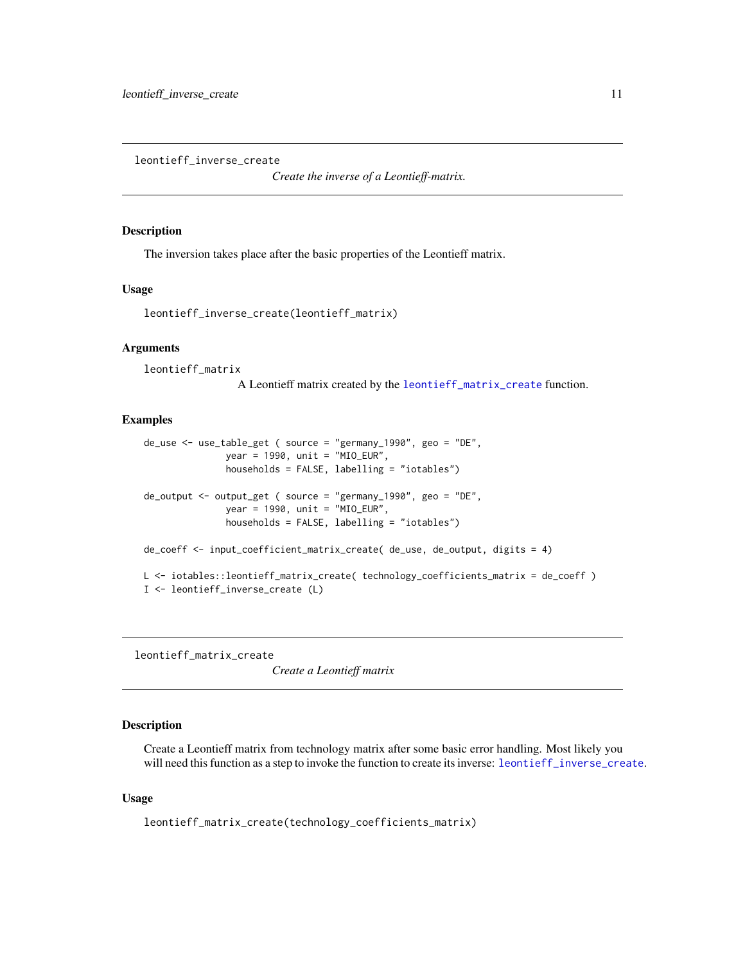<span id="page-10-2"></span><span id="page-10-0"></span>leontieff\_inverse\_create

*Create the inverse of a Leontieff-matrix.*

#### Description

The inversion takes place after the basic properties of the Leontieff matrix.

#### Usage

```
leontieff_inverse_create(leontieff_matrix)
```
#### Arguments

leontieff\_matrix

A Leontieff matrix created by the [leontieff\\_matrix\\_create](#page-10-1) function.

#### Examples

```
de_use <- use_table_get ( source = "germany_1990", geo = "DE",
               year = 1990, unit = "MIO_EUR",
               households = FALSE, labelling = "iotables")
de_output <- output_get ( source = "germany_1990", geo = "DE",
               year = 1990, unit = "MIO_EUR",
               households = FALSE, labelling = "iotables")
de_coeff <- input_coefficient_matrix_create( de_use, de_output, digits = 4)
L <- iotables::leontieff_matrix_create( technology_coefficients_matrix = de_coeff )
I <- leontieff_inverse_create (L)
```
<span id="page-10-1"></span>leontieff\_matrix\_create

*Create a Leontieff matrix*

#### Description

Create a Leontieff matrix from technology matrix after some basic error handling. Most likely you will need this function as a step to invoke the function to create its inverse: [leontieff\\_inverse\\_create](#page-10-2).

#### Usage

leontieff\_matrix\_create(technology\_coefficients\_matrix)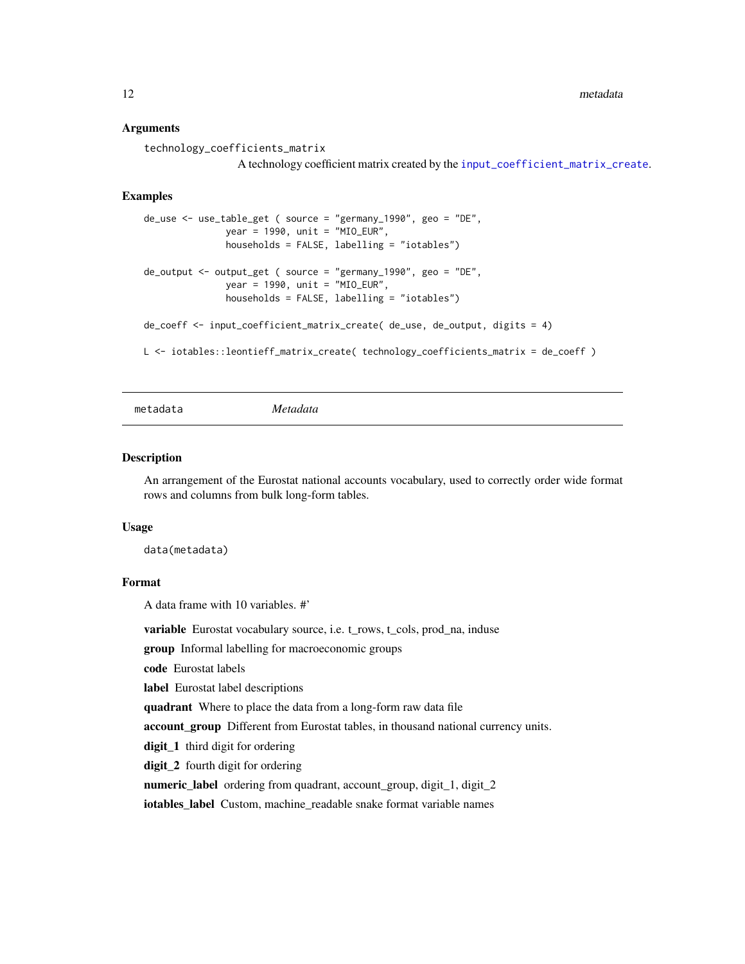<span id="page-11-0"></span>12 metadata

#### Arguments

```
technology_coefficients_matrix
                 A technology coefficient matrix created by the input_coefficient_matrix_create.
```
#### Examples

```
de_use <- use_table_get ( source = "germany_1990", geo = "DE",
               year = 1990, unit = "MIO_EUR",
               households = FALSE, labelling = "iotables")
de_output <- output_get ( source = "germany_1990", geo = "DE",
               year = 1990, unit = "MIO_EUR",
               households = FALSE, labelling = "iotables")
de_coeff <- input_coefficient_matrix_create( de_use, de_output, digits = 4)
L <- iotables::leontieff_matrix_create( technology_coefficients_matrix = de_coeff )
```
metadata *Metadata*

#### **Description**

An arrangement of the Eurostat national accounts vocabulary, used to correctly order wide format rows and columns from bulk long-form tables.

#### Usage

data(metadata)

#### Format

A data frame with 10 variables. #'

variable Eurostat vocabulary source, i.e. t\_rows, t\_cols, prod\_na, induse

group Informal labelling for macroeconomic groups

code Eurostat labels

label Eurostat label descriptions

quadrant Where to place the data from a long-form raw data file

account\_group Different from Eurostat tables, in thousand national currency units.

digit\_1 third digit for ordering

digit\_2 fourth digit for ordering

numeric\_label ordering from quadrant, account\_group, digit\_1, digit\_2

iotables\_label Custom, machine\_readable snake format variable names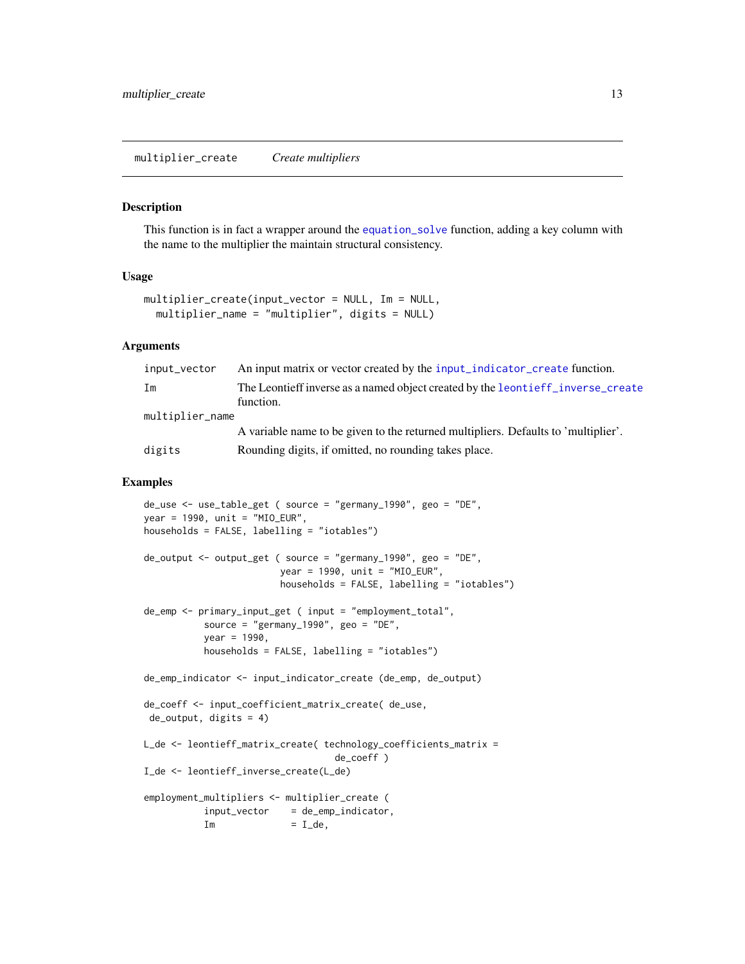<span id="page-12-1"></span><span id="page-12-0"></span>multiplier\_create *Create multipliers*

#### Description

This function is in fact a wrapper around the [equation\\_solve](#page-5-1) function, adding a key column with the name to the multiplier the maintain structural consistency.

#### Usage

```
multiplier_create(input_vector = NULL, Im = NULL,
  multiplier_name = "multiplier", digits = NULL)
```
#### Arguments

| input_vector    | An input matrix or vector created by the input_indicator_create function.                    |
|-----------------|----------------------------------------------------------------------------------------------|
| Im              | The Leontieff inverse as a named object created by the leontieff_inverse_create<br>function. |
| multiplier_name |                                                                                              |
|                 | A variable name to be given to the returned multipliers. Defaults to 'multiplier'.           |
| digits          | Rounding digits, if omitted, no rounding takes place.                                        |

```
de_use <- use_table_get ( source = "germany_1990", geo = "DE",
year = 1990, unit = "MIO_EUR",
households = FALSE, labelling = "iotables")
de_output <- output_get ( source = "germany_1990", geo = "DE",
                         year = 1990, unit = "MIO_EUR",
                         households = FALSE, labelling = "iotables")
de_emp <- primary_input_get ( input = "employment_total",
           source = "germany_1990", geo = "DE",
           year = 1990,households = FALSE, labelling = "iotables")
de_emp_indicator <- input_indicator_create (de_emp, de_output)
de_coeff <- input_coefficient_matrix_create( de_use,
de_output, digits = 4)
L_de <- leontieff_matrix_create( technology_coefficients_matrix =
                                    de_coeff )
I_de <- leontieff_inverse_create(L_de)
employment_multipliers <- multiplier_create (
           input\_vector = de_emp_indicator,<br>
Im = I_dde,
                          = I_dde,
```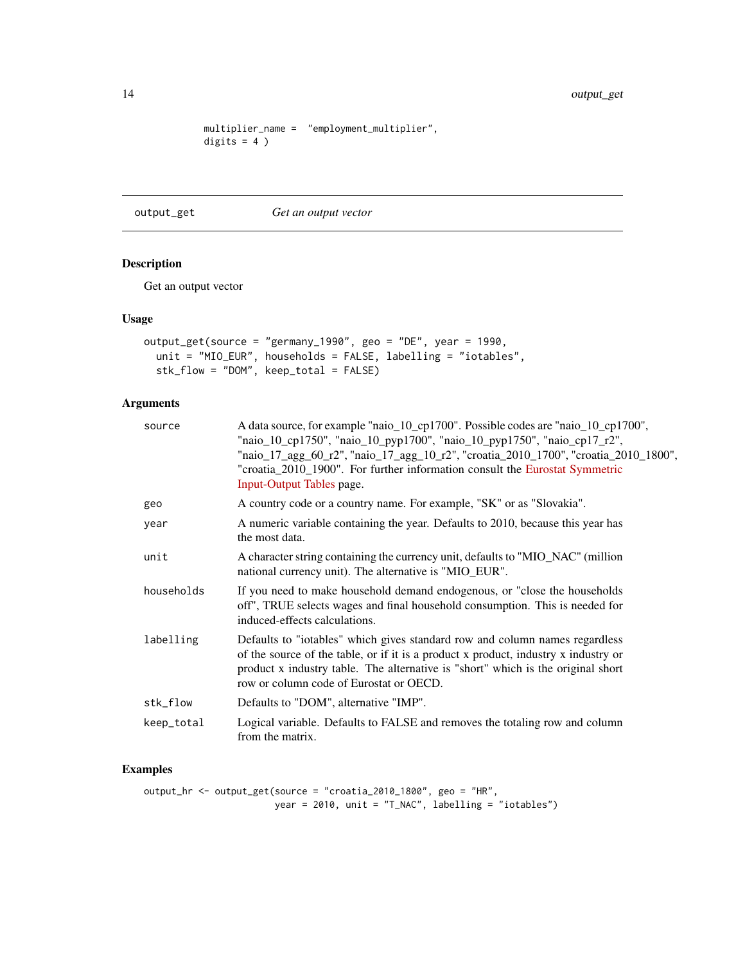```
multiplier_name = "employment_multiplier",
digits = 4)
```
<span id="page-13-1"></span>output\_get *Get an output vector*

#### Description

Get an output vector

#### Usage

```
output_get(source = "germany_1990", geo = "DE", year = 1990,
  unit = "MIO_EUR", households = FALSE, labelling = "iotables",
  stk_flow = "DOM", keep_total = FALSE)
```
#### Arguments

| source     | A data source, for example "naio_10_cp1700". Possible codes are "naio_10_cp1700",<br>"naio_10_cp1750", "naio_10_pyp1700", "naio_10_pyp1750", "naio_cp17_r2",<br>"naio_17_agg_60_r2", "naio_17_agg_10_r2", "croatia_2010_1700", "croatia_2010_1800",<br>"croatia_2010_1900". For further information consult the Eurostat Symmetric<br>Input-Output Tables page. |
|------------|-----------------------------------------------------------------------------------------------------------------------------------------------------------------------------------------------------------------------------------------------------------------------------------------------------------------------------------------------------------------|
| geo        | A country code or a country name. For example, "SK" or as "Slovakia".                                                                                                                                                                                                                                                                                           |
| year       | A numeric variable containing the year. Defaults to 2010, because this year has<br>the most data.                                                                                                                                                                                                                                                               |
| unit       | A character string containing the currency unit, defaults to "MIO_NAC" (million<br>national currency unit). The alternative is "MIO_EUR".                                                                                                                                                                                                                       |
| households | If you need to make household demand endogenous, or "close the households"<br>off", TRUE selects wages and final household consumption. This is needed for<br>induced-effects calculations.                                                                                                                                                                     |
| labelling  | Defaults to "iotables" which gives standard row and column names regardless<br>of the source of the table, or if it is a product x product, industry x industry or<br>product x industry table. The alternative is "short" which is the original short<br>row or column code of Eurostat or OECD.                                                               |
| stk_flow   | Defaults to "DOM", alternative "IMP".                                                                                                                                                                                                                                                                                                                           |
| keep_total | Logical variable. Defaults to FALSE and removes the totaling row and column<br>from the matrix.                                                                                                                                                                                                                                                                 |

```
output_hr <- output_get(source = "croatia_2010_1800", geo = "HR",
                       year = 2010, unit = "T_NAC", labelling = "iotables")
```
<span id="page-13-0"></span>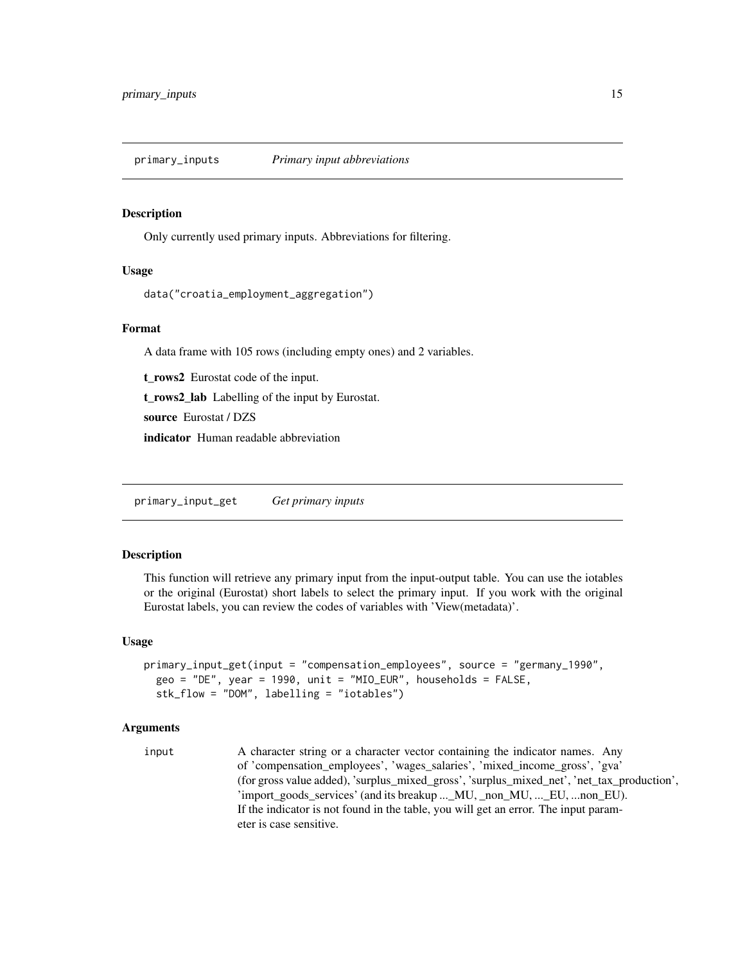<span id="page-14-0"></span>primary\_inputs *Primary input abbreviations*

#### Description

Only currently used primary inputs. Abbreviations for filtering.

#### Usage

```
data("croatia_employment_aggregation")
```
#### Format

A data frame with 105 rows (including empty ones) and 2 variables.

t\_rows2 Eurostat code of the input.

t\_rows2\_lab Labelling of the input by Eurostat.

source Eurostat / DZS

indicator Human readable abbreviation

<span id="page-14-1"></span>primary\_input\_get *Get primary inputs*

#### Description

This function will retrieve any primary input from the input-output table. You can use the iotables or the original (Eurostat) short labels to select the primary input. If you work with the original Eurostat labels, you can review the codes of variables with 'View(metadata)'.

#### Usage

```
primary_input_get(input = "compensation_employees", source = "germany_1990",
 geo = "DE", year = 1990, unit = "MIO_EUR", households = FALSE,stk_flow = "DOM", labelling = "iotables")
```
#### Arguments

input A character string or a character vector containing the indicator names. Any of 'compensation\_employees', 'wages\_salaries', 'mixed\_income\_gross', 'gva' (for gross value added), 'surplus\_mixed\_gross', 'surplus\_mixed\_net', 'net\_tax\_production', 'import\_goods\_services' (and its breakup ...\_MU, \_non\_MU, ...\_EU, ...non\_EU). If the indicator is not found in the table, you will get an error. The input parameter is case sensitive.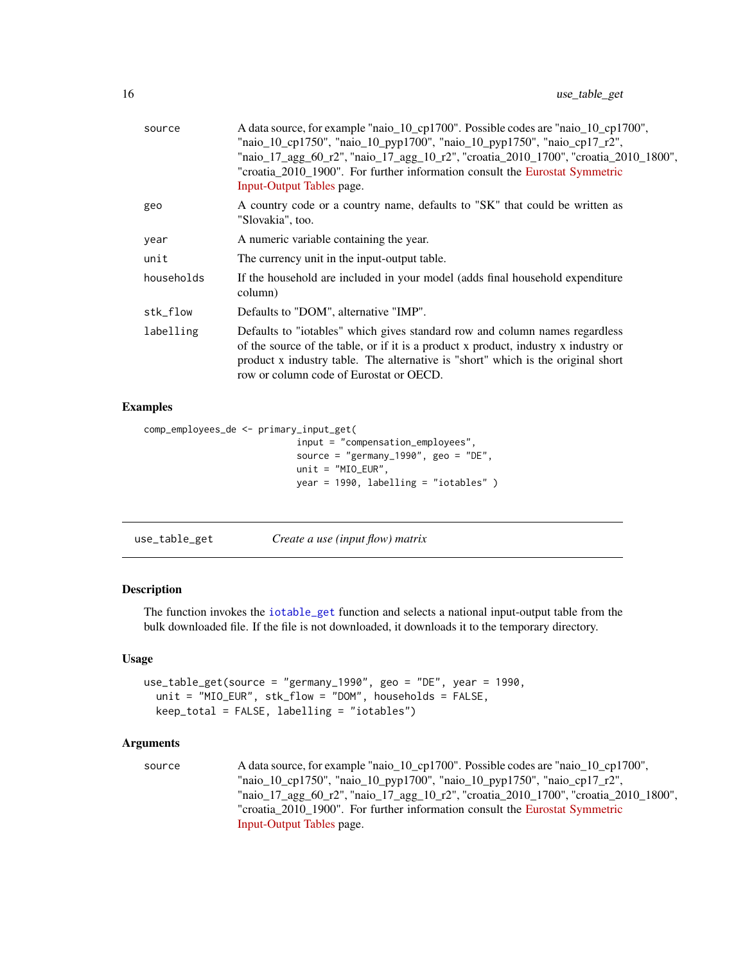<span id="page-15-0"></span>

| A country code or a country name, defaults to "SK" that could be written as<br>geo<br>"Slovakia", too.<br>A numeric variable containing the year.<br>year<br>The currency unit in the input-output table.<br>unit<br>households<br>If the household are included in your model (adds final household expenditure<br>column)<br>stk_flow<br>Defaults to "DOM", alternative "IMP".<br>Defaults to "iotables" which gives standard row and column names regardless<br>labelling | source | A data source, for example "naio_10_cp1700". Possible codes are "naio_10_cp1700",<br>"naio_10_cp1750", "naio_10_pyp1700", "naio_10_pyp1750", "naio_cp17_r2",<br>"naio_17_agg_60_r2", "naio_17_agg_10_r2", "croatia_2010_1700", "croatia_2010_1800",<br>"croatia_2010_1900". For further information consult the Eurostat Symmetric<br>Input-Output Tables page. |
|------------------------------------------------------------------------------------------------------------------------------------------------------------------------------------------------------------------------------------------------------------------------------------------------------------------------------------------------------------------------------------------------------------------------------------------------------------------------------|--------|-----------------------------------------------------------------------------------------------------------------------------------------------------------------------------------------------------------------------------------------------------------------------------------------------------------------------------------------------------------------|
|                                                                                                                                                                                                                                                                                                                                                                                                                                                                              |        |                                                                                                                                                                                                                                                                                                                                                                 |
|                                                                                                                                                                                                                                                                                                                                                                                                                                                                              |        |                                                                                                                                                                                                                                                                                                                                                                 |
|                                                                                                                                                                                                                                                                                                                                                                                                                                                                              |        |                                                                                                                                                                                                                                                                                                                                                                 |
|                                                                                                                                                                                                                                                                                                                                                                                                                                                                              |        |                                                                                                                                                                                                                                                                                                                                                                 |
|                                                                                                                                                                                                                                                                                                                                                                                                                                                                              |        |                                                                                                                                                                                                                                                                                                                                                                 |
| product x industry table. The alternative is "short" which is the original short<br>row or column code of Eurostat or OECD.                                                                                                                                                                                                                                                                                                                                                  |        | of the source of the table, or if it is a product x product, industry x industry or                                                                                                                                                                                                                                                                             |

#### Examples

```
comp_employees_de <- primary_input_get(
                            input = "compensation_employees",
                            source = "germany_1990", geo = "DE",
                            unit = "MIO_EUR",
                            year = 1990, labelling = "iotables" )
```
<span id="page-15-1"></span>use\_table\_get *Create a use (input flow) matrix*

#### Description

The function invokes the [iotable\\_get](#page-9-1) function and selects a national input-output table from the bulk downloaded file. If the file is not downloaded, it downloads it to the temporary directory.

#### Usage

```
use_table_get(source = "germany_1990", geo = "DE", year = 1990,
 unit = "MIO_EUR", stk_flow = "DOM", households = FALSE,
  keep_total = FALSE, labelling = "iotables")
```
### Arguments

```
source A data source, for example "naio_10_cp1700". Possible codes are "naio_10_cp1700",
                 "naio_10_cp1750", "naio_10_pyp1700", "naio_10_pyp1750", "naio_cp17_r2",
                 "naio_17_agg_60_r2", "naio_17_agg_10_r2", "croatia_2010_1700", "croatia_2010_1800",
                 "croatia_2010_1900". For further information consult the Eurostat Symmetric
                 Input-Output Tables page.
```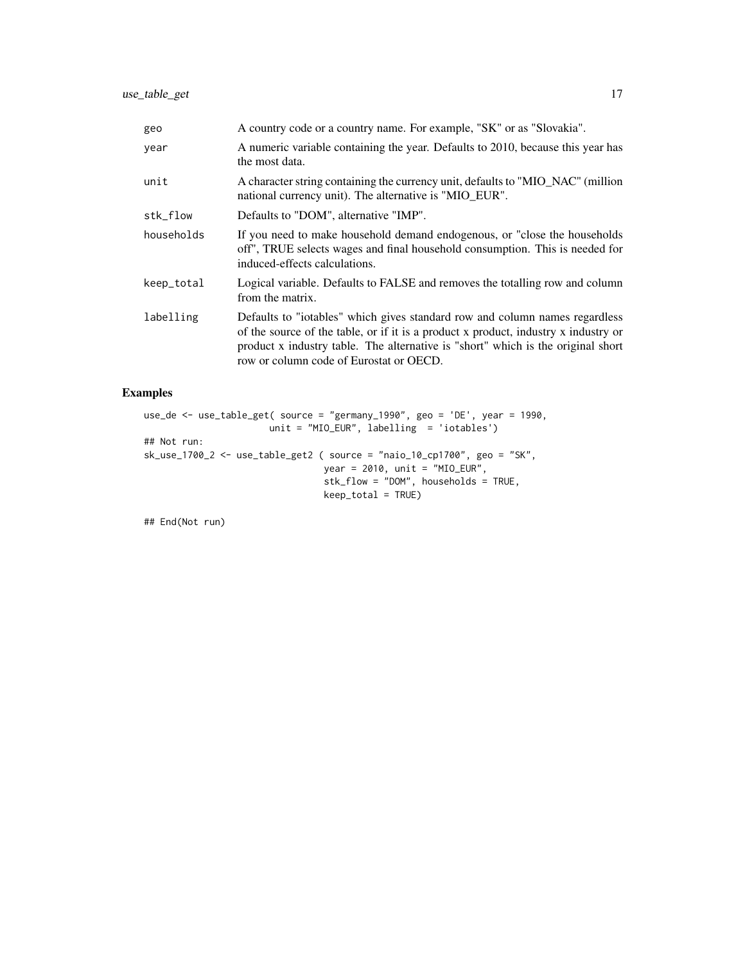| geo        | A country code or a country name. For example, "SK" or as "Slovakia".                                                                                                                                                                                                                             |
|------------|---------------------------------------------------------------------------------------------------------------------------------------------------------------------------------------------------------------------------------------------------------------------------------------------------|
| year       | A numeric variable containing the year. Defaults to 2010, because this year has<br>the most data.                                                                                                                                                                                                 |
| unit       | A character string containing the currency unit, defaults to "MIO_NAC" (million<br>national currency unit). The alternative is "MIO_EUR".                                                                                                                                                         |
| stk_flow   | Defaults to "DOM", alternative "IMP".                                                                                                                                                                                                                                                             |
| households | If you need to make household demand endogenous, or "close the households"<br>off", TRUE selects wages and final household consumption. This is needed for<br>induced-effects calculations.                                                                                                       |
| keep_total | Logical variable. Defaults to FALSE and removes the totalling row and column<br>from the matrix.                                                                                                                                                                                                  |
| labelling  | Defaults to "iotables" which gives standard row and column names regardless<br>of the source of the table, or if it is a product x product, industry x industry or<br>product x industry table. The alternative is "short" which is the original short<br>row or column code of Eurostat or OECD. |

#### Examples

```
use_de <- use_table_get( source = "germany_1990", geo = 'DE', year = 1990,
                      unit = "MIO_EUR", labelling = 'iotables')
## Not run:
sk_use_1700_2 <- use_table_get2 ( source = "naio_10_cp1700", geo = "SK",
                                year = 2010, unit = "MIO_EUR",stk_flow = "DOM", households = TRUE,
                                 keep_total = TRUE)
```
## End(Not run)